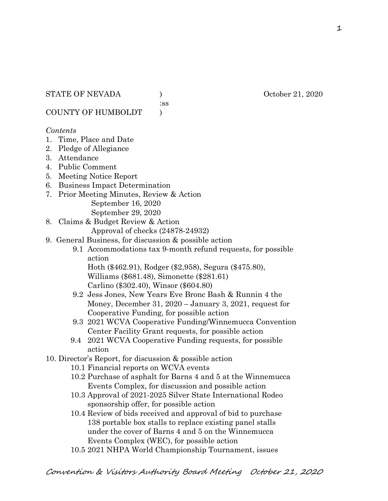:ss

COUNTY OF HUMBOLDT )

#### *Contents*

- 1. Time, Place and Date
- 2. Pledge of Allegiance
- 3. Attendance
- 4. Public Comment
- 5. Meeting Notice Report
- 6. Business Impact Determination
- 7. Prior Meeting Minutes, Review & Action September 16, 2020 September 29, 2020
- 8. Claims & Budget Review & Action
	- Approval of checks (24878-24932)
- 9. General Business, for discussion & possible action
	- 9.1 Accommodations tax 9-month refund requests, for possible action
		- Hoth (\$462.91), Rodger (\$2,958), Segura (\$475.80), Williams (\$681.48), Simonette (\$281.61) Carlino (\$302.40), Winsor (\$604.80)
	- 9.2 Jess Jones, New Years Eve Bronc Bash & Runnin 4 the Money, December 31, 2020 – January 3, 2021, request for Cooperative Funding, for possible action
	- 9.3 2021 WCVA Cooperative Funding/Winnemucca Convention Center Facility Grant requests, for possible action
	- 9.4 2021 WCVA Cooperative Funding requests, for possible action
- 10. Director's Report, for discussion & possible action
	- 10.1 Financial reports on WCVA events
	- 10.2 Purchase of asphalt for Barns 4 and 5 at the Winnemucca Events Complex, for discussion and possible action
	- 10.3 Approval of 2021-2025 Silver State International Rodeo sponsorship offer, for possible action
	- 10.4 Review of bids received and approval of bid to purchase 138 portable box stalls to replace existing panel stalls under the cover of Barns 4 and 5 on the Winnemucca Events Complex (WEC), for possible action
	- 10.5 2021 NHPA World Championship Tournament, issues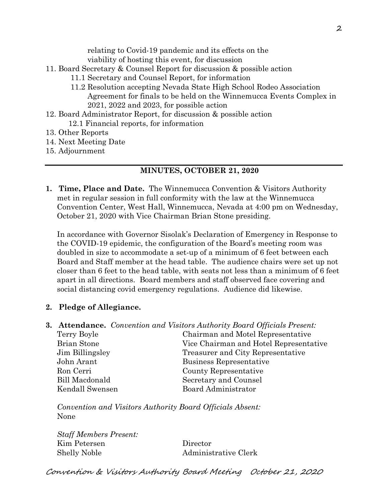relating to Covid-19 pandemic and its effects on the viability of hosting this event, for discussion

- 11. Board Secretary & Counsel Report for discussion & possible action
	- 11.1 Secretary and Counsel Report, for information
	- 11.2 Resolution accepting Nevada State High School Rodeo Association Agreement for finals to be held on the Winnemucca Events Complex in 2021, 2022 and 2023, for possible action
- 12. Board Administrator Report, for discussion & possible action
	- 12.1 Financial reports, for information
- 13. Other Reports
- 14. Next Meeting Date
- 15. Adjournment

#### **MINUTES, OCTOBER 21, 2020**

**1. Time, Place and Date.** The Winnemucca Convention & Visitors Authority met in regular session in full conformity with the law at the Winnemucca Convention Center, West Hall, Winnemucca, Nevada at 4:00 pm on Wednesday, October 21, 2020 with Vice Chairman Brian Stone presiding.

In accordance with Governor Sisolak's Declaration of Emergency in Response to the COVID-19 epidemic, the configuration of the Board's meeting room was doubled in size to accommodate a set-up of a minimum of 6 feet between each Board and Staff member at the head table. The audience chairs were set up not closer than 6 feet to the head table, with seats not less than a minimum of 6 feet apart in all directions. Board members and staff observed face covering and social distancing covid emergency regulations. Audience did likewise.

#### **2. Pledge of Allegiance.**

**3. Attendance.** *Convention and Visitors Authority Board Officials Present:* Terry Boyle Chairman and Motel Representative Brian Stone Vice Chairman and Hotel Representative Jim Billingsley Treasurer and City Representative John Arant Business Representative Ron Cerri County Representative Bill Macdonald Secretary and Counsel Kendall Swensen Board Administrator

*Convention and Visitors Authority Board Officials Absent:* None

*Staff Members Present:* Kim Petersen Director Shelly Noble Administrative Clerk

Convention & Visitors Authority Board Meeting October 21, 2020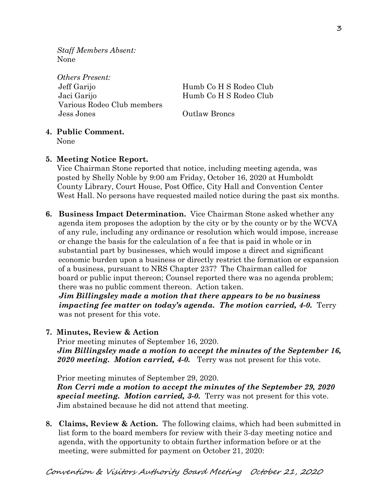*Staff Members Absent:* None

*Others Present:* Jeff Garijo Humb Co H S Rodeo Club Jaci Garijo Humb Co H S Rodeo Club Various Rodeo Club members Jess Jones Outlaw Broncs

# **4. Public Comment.**

None

# **5. Meeting Notice Report.**

Vice Chairman Stone reported that notice, including meeting agenda, was posted by Shelly Noble by 9:00 am Friday, October 16, 2020 at Humboldt County Library, Court House, Post Office, City Hall and Convention Center West Hall. No persons have requested mailed notice during the past six months.

**6. Business Impact Determination.** Vice Chairman Stone asked whether any agenda item proposes the adoption by the city or by the county or by the WCVA of any rule, including any ordinance or resolution which would impose, increase or change the basis for the calculation of a fee that is paid in whole or in substantial part by businesses, which would impose a direct and significant economic burden upon a business or directly restrict the formation or expansion of a business, pursuant to NRS Chapter 237? The Chairman called for board or public input thereon; Counsel reported there was no agenda problem; there was no public comment thereon. Action taken.

 *Jim Billingsley made a motion that there appears to be no business impacting fee matter on today's agenda. The motion carried, 4-0. Terry* was not present for this vote.

**7. Minutes, Review & Action** 

Prior meeting minutes of September 16, 2020. *Jim Billingsley made a motion to accept the minutes of the September 16, 2020 meeting. Motion carried, 4-0.* Terry was not present for this vote.

Prior meeting minutes of September 29, 2020.

*Ron Cerri mde a motion to accept the minutes of the September 29, 2020 special meeting. Motion carried, 3-0.* Terry was not present for this vote. Jim abstained because he did not attend that meeting.

**8. Claims, Review & Action.** The following claims, which had been submitted in list form to the board members for review with their 3-day meeting notice and agenda, with the opportunity to obtain further information before or at the meeting, were submitted for payment on October 21, 2020: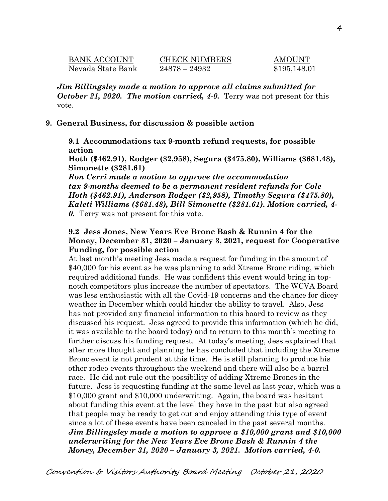| BANK ACCOUNT      | <b>CHECK NUMBERS</b> | <b>AMOUNT</b> |
|-------------------|----------------------|---------------|
| Nevada State Bank | $24878 - 24932$      | \$195,148.01  |

*Jim Billingsley made a motion to approve all claims submitted for October 21, 2020. The motion carried, 4-0.* Terry was not present for this vote.

#### **9. General Business, for discussion & possible action**

**9.1 Accommodations tax 9-month refund requests, for possible action**

**Hoth (\$462.91), Rodger (\$2,958), Segura (\$475.80), Williams (\$681.48), Simonette (\$281.61)** 

*Ron Cerri made a motion to approve the accommodation tax 9-months deemed to be a permanent resident refunds for Cole Hoth (\$462.91), Anderson Rodger (\$2,958), Timothy Segura (\$475.80), Kaleti Williams (\$681.48), Bill Simonette (\$281.61). Motion carried, 4- 0.* Terry was not present for this vote.

#### **9.2 Jess Jones, New Years Eve Bronc Bash & Runnin 4 for the Money, December 31, 2020 – January 3, 2021, request for Cooperative Funding, for possible action**

At last month's meeting Jess made a request for funding in the amount of \$40,000 for his event as he was planning to add Xtreme Bronc riding, which required additional funds. He was confident this event would bring in topnotch competitors plus increase the number of spectators. The WCVA Board was less enthusiastic with all the Covid-19 concerns and the chance for dicey weather in December which could hinder the ability to travel. Also, Jess has not provided any financial information to this board to review as they discussed his request. Jess agreed to provide this information (which he did, it was available to the board today) and to return to this month's meeting to further discuss his funding request. At today's meeting, Jess explained that after more thought and planning he has concluded that including the Xtreme Bronc event is not prudent at this time. He is still planning to produce his other rodeo events throughout the weekend and there will also be a barrel race. He did not rule out the possibility of adding Xtreme Broncs in the future. Jess is requesting funding at the same level as last year, which was a \$10,000 grant and \$10,000 underwriting. Again, the board was hesitant about funding this event at the level they have in the past but also agreed that people may be ready to get out and enjoy attending this type of event since a lot of these events have been canceled in the past several months. *Jim Billingsley made a motion to approve a \$10,000 grant and \$10,000 underwriting for the New Years Eve Bronc Bash & Runnin 4 the Money, December 31, 2020 – January 3, 2021. Motion carried, 4-0.*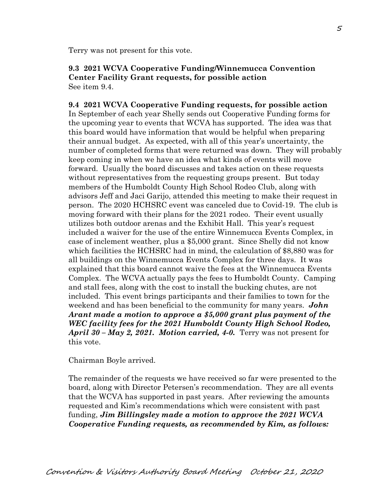Terry was not present for this vote.

#### **9.3 2021 WCVA Cooperative Funding/Winnemucca Convention Center Facility Grant requests, for possible action** See item 9.4.

**9.4 2021 WCVA Cooperative Funding requests, for possible action** In September of each year Shelly sends out Cooperative Funding forms for the upcoming year to events that WCVA has supported. The idea was that this board would have information that would be helpful when preparing their annual budget. As expected, with all of this year's uncertainty, the number of completed forms that were returned was down. They will probably keep coming in when we have an idea what kinds of events will move forward. Usually the board discusses and takes action on these requests without representatives from the requesting groups present. But today members of the Humboldt County High School Rodeo Club, along with advisors Jeff and Jaci Garijo, attended this meeting to make their request in person. The 2020 HCHSRC event was canceled due to Covid-19. The club is moving forward with their plans for the 2021 rodeo. Their event usually utilizes both outdoor arenas and the Exhibit Hall. This year's request included a waiver for the use of the entire Winnemucca Events Complex, in case of inclement weather, plus a \$5,000 grant. Since Shelly did not know which facilities the HCHSRC had in mind, the calculation of \$8,880 was for all buildings on the Winnemucca Events Complex for three days. It was explained that this board cannot waive the fees at the Winnemucca Events Complex. The WCVA actually pays the fees to Humboldt County. Camping and stall fees, along with the cost to install the bucking chutes, are not included. This event brings participants and their families to town for the weekend and has been beneficial to the community for many years. *John Arant made a motion to approve a \$5,000 grant plus payment of the WEC facility fees for the 2021 Humboldt County High School Rodeo, April 30 – May 2, 2021. Motion carried, 4-0.* Terry was not present for this vote.

#### Chairman Boyle arrived.

The remainder of the requests we have received so far were presented to the board, along with Director Petersen's recommendation. They are all events that the WCVA has supported in past years. After reviewing the amounts requested and Kim's recommendations which were consistent with past funding, *Jim Billingsley made a motion to approve the 2021 WCVA Cooperative Funding requests, as recommended by Kim, as follows:*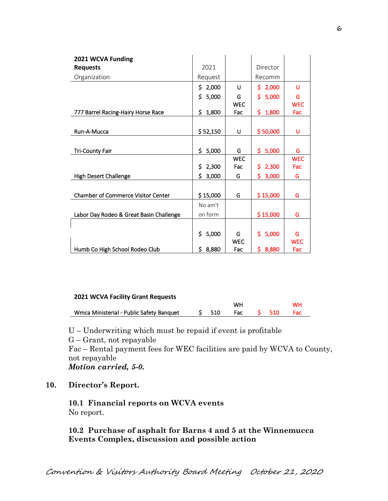| 2021 WCVA Funding                         |              |            |              |            |
|-------------------------------------------|--------------|------------|--------------|------------|
| <b>Requests</b>                           | 2021         |            | Director     |            |
| Organization                              | Request      |            | Recomm       |            |
|                                           | \$2,000      | U          | \$2,000      | U          |
|                                           | \$.<br>5,000 | G          | 5,000<br>\$. | G          |
|                                           |              | <b>WEC</b> |              | <b>WEC</b> |
| 777 Barrel Racing-Hairy Horse Race        | \$<br>1,800  | Fac        | 1,800<br>\$. | Fac        |
|                                           |              |            |              |            |
| Run-A-Mucca                               | \$52,150     | U          | \$50,000     | U          |
|                                           |              |            |              |            |
| <b>Tri-County Fair</b>                    | 5,000<br>Ś.  | G          | 5,000<br>\$. | G          |
|                                           |              | <b>WEC</b> |              | <b>WEC</b> |
|                                           | \$<br>2,300  | Fac        | 2,300<br>S.  | Fac        |
| <b>High Desert Challenge</b>              | \$<br>3,000  | G          | \$.<br>3,000 | G          |
|                                           |              |            |              |            |
| <b>Chamber of Commerce Visitor Center</b> | \$15,000     | G          | \$15,000     | G          |
|                                           | No am't      |            |              |            |
| Labor Day Rodeo & Great Basin Challenge   | on form      |            | \$15,000     | G          |
|                                           |              |            |              |            |
|                                           | \$<br>5,000  | G          | 5,000<br>Š.  | G          |
|                                           |              | <b>WEC</b> |              | <b>WEC</b> |
| Humb Co High School Rodeo Club            | \$.<br>8,880 | Fac        | \$8,880      | Fac        |

#### **2021 WCVA Facility Grant Requests**

|                                          |  | wн |  | wн |
|------------------------------------------|--|----|--|----|
| Wmca Ministerial - Public Safety Banquet |  |    |  |    |

U – Underwriting which must be repaid if event is profitable

G – Grant, not repayable

Fac – Rental payment fees for WEC facilities are paid by WCVA to County, not repayable

*Motion carried, 5-0.* 

## **10. Director's Report.**

**10.1 Financial reports on WCVA events**  No report.

**10.2 Purchase of asphalt for Barns 4 and 5 at the Winnemucca Events Complex, discussion and possible action**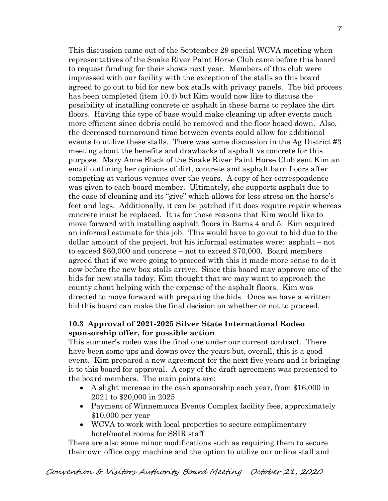This discussion came out of the September 29 special WCVA meeting when representatives of the Snake River Paint Horse Club came before this board to request funding for their shows next year. Members of this club were impressed with our facility with the exception of the stalls so this board agreed to go out to bid for new box stalls with privacy panels. The bid process has been completed (item 10.4) but Kim would now like to discuss the possibility of installing concrete or asphalt in these barns to replace the dirt floors. Having this type of base would make cleaning up after events much more efficient since debris could be removed and the floor hosed down. Also, the decreased turnaround time between events could allow for additional events to utilize these stalls. There was some discussion in the Ag District #3 meeting about the benefits and drawbacks of asphalt vs concrete for this purpose. Mary Anne Black of the Snake River Paint Horse Club sent Kim an email outlining her opinions of dirt, concrete and asphalt barn floors after competing at various venues over the years. A copy of her correspondence was given to each board member. Ultimately, she supports asphalt due to the ease of cleaning and its "give" which allows for less stress on the horse's feet and legs. Additionally, it can be patched if it does require repair whereas concrete must be replaced. It is for these reasons that Kim would like to move forward with installing asphalt floors in Barns 4 and 5. Kim acquired an informal estimate for this job. This would have to go out to bid due to the dollar amount of the project, but his informal estimates were: asphalt – not to exceed \$60,000 and concrete – not to exceed \$70,000. Board members agreed that if we were going to proceed with this it made more sense to do it now before the new box stalls arrive. Since this board may approve one of the bids for new stalls today, Kim thought that we may want to approach the county about helping with the expense of the asphalt floors. Kim was directed to move forward with preparing the bids. Once we have a written bid this board can make the final decision on whether or not to proceed.

## **10.3 Approval of 2021-2025 Silver State International Rodeo sponsorship offer, for possible action**

This summer's rodeo was the final one under our current contract. There have been some ups and downs over the years but, overall, this is a good event. Kim prepared a new agreement for the next five years and is bringing it to this board for approval. A copy of the draft agreement was presented to the board members. The main points are:

- A slight increase in the cash sponsorship each year, from \$16,000 in 2021 to \$20,000 in 2025
- Payment of Winnemucca Events Complex facility fees, approximately \$10,000 per year
- WCVA to work with local properties to secure complimentary hotel/motel rooms for SSIR staff

There are also some minor modifications such as requiring them to secure their own office copy machine and the option to utilize our online stall and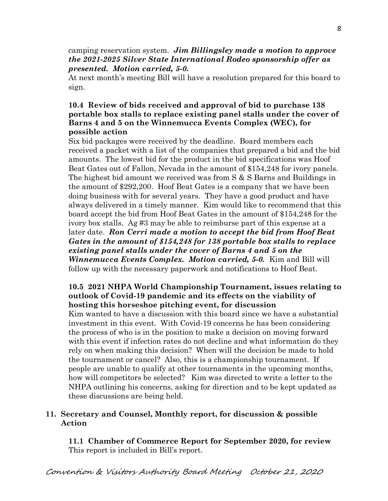camping reservation system. *Jim Billingsley made a motion to approve the 2021-2025 Silver State International Rodeo sponsorship offer as presented. Motion carried, 5-0.* 

At next month's meeting Bill will have a resolution prepared for this board to sign.

## **10.4 Review of bids received and approval of bid to purchase 138 portable box stalls to replace existing panel stalls under the cover of Barns 4 and 5 on the Winnemucca Events Complex (WEC), for possible action**

Six bid packages were received by the deadline. Board members each received a packet with a list of the companies that prepared a bid and the bid amounts. The lowest bid for the product in the bid specifications was Hoof Beat Gates out of Fallon, Nevada in the amount of \$154,248 for ivory panels. The highest bid amount we received was from S & S Barns and Buildings in the amount of \$292,200. Hoof Beat Gates is a company that we have been doing business with for several years. They have a good product and have always delivered in a timely manner. Kim would like to recommend that this board accept the bid from Hoof Beat Gates in the amount of \$154,248 for the ivory box stalls. Ag #3 may be able to reimburse part of this expense at a later date. *Ron Cerri made a motion to accept the bid from Hoof Beat Gates in the amount of \$154,248 for 138 portable box stalls to replace existing panel stalls under the cover of Barns 4 and 5 on the Winnemucca Events Complex. Motion carried, 5-0.* Kim and Bill will follow up with the necessary paperwork and notifications to Hoof Beat.

## **10.5 2021 NHPA World Championship Tournament, issues relating to outlook of Covid-19 pandemic and its effects on the viability of hosting this horseshoe pitching event, for discussion**

Kim wanted to have a discussion with this board since we have a substantial investment in this event. With Covid-19 concerns he has been considering the process of who is in the position to make a decision on moving forward with this event if infection rates do not decline and what information do they rely on when making this decision? When will the decision be made to hold the tournament or cancel? Also, this is a championship tournament. If people are unable to qualify at other tournaments in the upcoming months, how will competitors be selected? Kim was directed to write a letter to the NHPA outlining his concerns, asking for direction and to be kept updated as these discussions are being held.

## **11. Secretary and Counsel, Monthly report, for discussion & possible Action**

 **11.1 Chamber of Commerce Report for September 2020, for review** This report is included in Bill's report.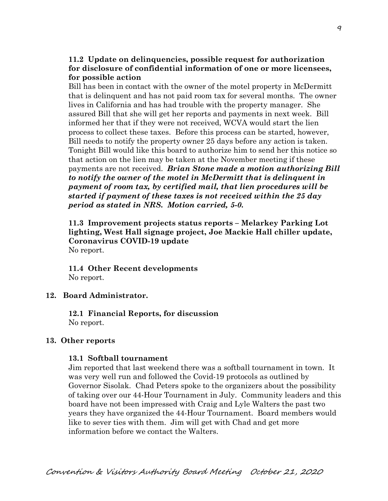## **11.2 Update on delinquencies, possible request for authorization for disclosure of confidential information of one or more licensees, for possible action**

Bill has been in contact with the owner of the motel property in McDermitt that is delinquent and has not paid room tax for several months. The owner lives in California and has had trouble with the property manager. She assured Bill that she will get her reports and payments in next week. Bill informed her that if they were not received, WCVA would start the lien process to collect these taxes. Before this process can be started, however, Bill needs to notify the property owner 25 days before any action is taken. Tonight Bill would like this board to authorize him to send her this notice so that action on the lien may be taken at the November meeting if these payments are not received. *Brian Stone made a motion authorizing Bill to notify the owner of the motel in McDermitt that is delinquent in payment of room tax, by certified mail, that lien procedures will be started if payment of these taxes is not received within the 25 day period as stated in NRS. Motion carried, 5-0.* 

**11.3 Improvement projects status reports – Melarkey Parking Lot lighting, West Hall signage project, Joe Mackie Hall chiller update, Coronavirus COVID-19 update** No report.

**11.4 Other Recent developments** No report.

## **12. Board Administrator.**

**12.1 Financial Reports, for discussion**  No report.

## **13. Other reports**

## **13.1 Softball tournament**

Jim reported that last weekend there was a softball tournament in town. It was very well run and followed the Covid-19 protocols as outlined by Governor Sisolak. Chad Peters spoke to the organizers about the possibility of taking over our 44-Hour Tournament in July. Community leaders and this board have not been impressed with Craig and Lyle Walters the past two years they have organized the 44-Hour Tournament. Board members would like to sever ties with them. Jim will get with Chad and get more information before we contact the Walters.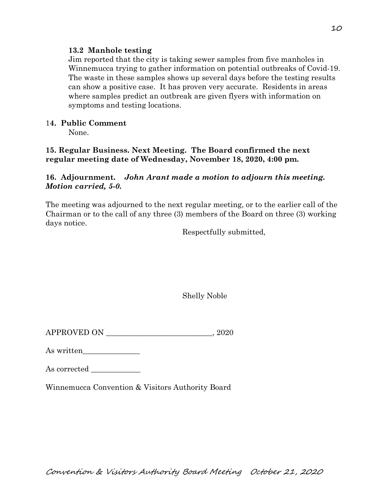## **13.2 Manhole testing**

Jim reported that the city is taking sewer samples from five manholes in Winnemucca trying to gather information on potential outbreaks of Covid-19. The waste in these samples shows up several days before the testing results can show a positive case. It has proven very accurate. Residents in areas where samples predict an outbreak are given flyers with information on symptoms and testing locations.

## 1**4. Public Comment**

None.

# **15. Regular Business. Next Meeting. The Board confirmed the next regular meeting date of Wednesday, November 18, 2020, 4:00 pm.**

# **16. Adjournment.** *John Arant made a motion to adjourn this meeting. Motion carried, 5-0.*

The meeting was adjourned to the next regular meeting, or to the earlier call of the Chairman or to the call of any three (3) members of the Board on three (3) working days notice.

Respectfully submitted,

Shelly Noble

APPROVED ON \_\_\_\_\_\_\_\_\_\_\_\_\_\_\_\_\_\_\_\_\_\_\_\_\_\_\_\_, 2020

As written\_\_\_\_\_\_\_\_\_\_\_\_\_\_\_

As corrected

Winnemucca Convention & Visitors Authority Board